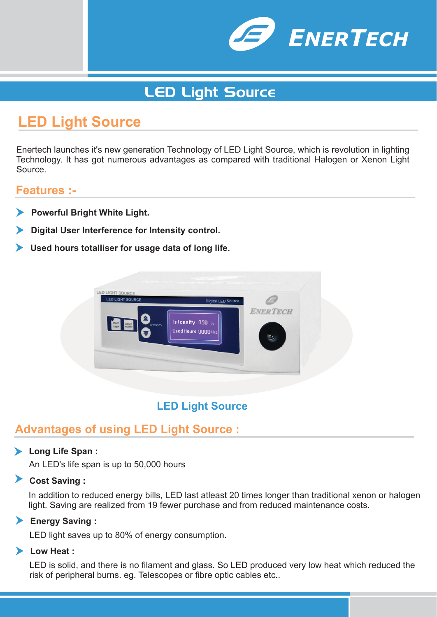

# LED Light Source

# **LED Light Source**

Enertech launches it's new generation Technology of LED Light Source, which is revolution in lighting Technology. It has got numerous advantages as compared with traditional Halogen or Xenon Light Source.

#### **Features :-**

- **Powerful Bright White Light.**
- **Digital User Interference for Intensity control.**
- **Used hours totalliser for usage data of long life.**



### **LED Light Source**

### **Advantages of using LED Light Source :**

#### **Long Life Span :**

An LED's life span is up to 50,000 hours

**Cost Saving :**

In addition to reduced energy bills, LED last atleast 20 times longer than traditional xenon or halogen light. Saving are realized from 19 fewer purchase and from reduced maintenance costs.

**Energy Saving :**

LED light saves up to 80% of energy consumption.

#### **Low Heat :**

LED is solid, and there is no filament and glass. So LED produced very low heat which reduced the risk of peripheral burns. eg. Telescopes or fibre optic cables etc..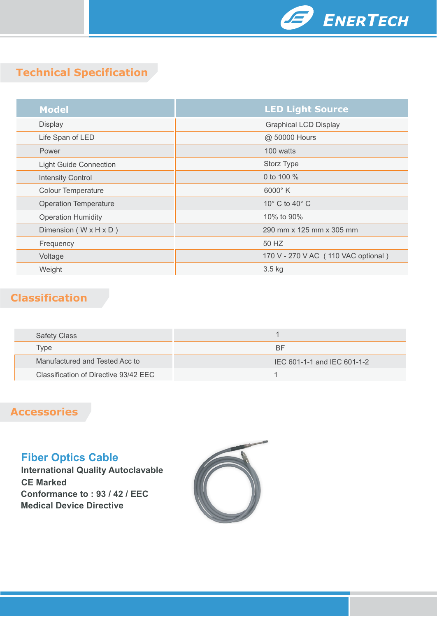

# **Technical Specification**

| <b>Model</b>                        | <b>LED Light Source</b>             |
|-------------------------------------|-------------------------------------|
| <b>Display</b>                      | <b>Graphical LCD Display</b>        |
| Life Span of LED                    | @ 50000 Hours                       |
| Power                               | 100 watts                           |
| <b>Light Guide Connection</b>       | Storz Type                          |
| <b>Intensity Control</b>            | 0 to 100 %                          |
| <b>Colour Temperature</b>           | $6000^\circ$ K                      |
| <b>Operation Temperature</b>        | 10 $^{\circ}$ C to 40 $^{\circ}$ C  |
| <b>Operation Humidity</b>           | 10% to 90%                          |
| Dimension ( $W \times H \times D$ ) | 290 mm x 125 mm x 305 mm            |
| Frequency                           | 50 HZ                               |
| Voltage                             | 170 V - 270 V AC (110 VAC optional) |
| Weight                              | $3.5$ kg                            |

## **Classification**

| <b>Safety Class</b>                   |                             |
|---------------------------------------|-----------------------------|
| Type                                  | BF                          |
| Manufactured and Tested Acc to        | IEC 601-1-1 and IEC 601-1-2 |
| Classification of Directive 93/42 EEC |                             |

## **Accessories**

### **Fiber Optics Cable**

**International Quality Autoclavable CE Marked Conformance to : 93 / 42 / EEC Medical Device Directive**